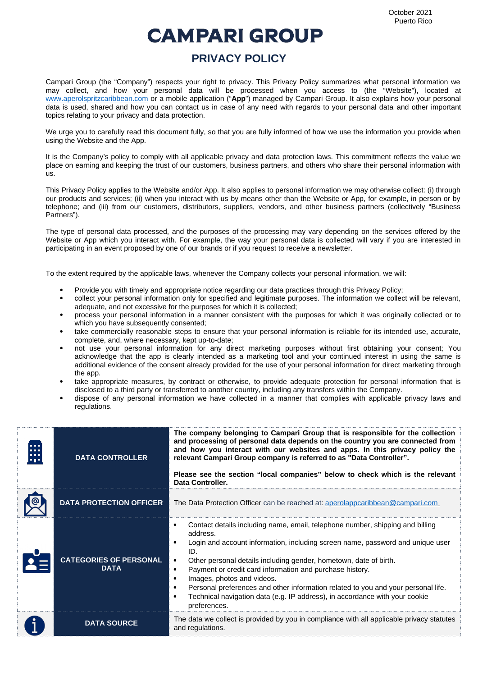## **CAMPARI GROUP**

## **PRIVACY POLICY**

Campari Group (the "Company") respects your right to privacy. This Privacy Policy summarizes what personal information we may collect, and how your personal data will be processed when you access to (the "Website"), located at [www.aperolspritzcaribbean.com](http://www.aperolspritzcaribbean.com/) or a mobile application ("**App**") managed by Campari Group. It also explains how your personal data is used, shared and how you can contact us in case of any need with regards to your personal data and other important topics relating to your privacy and data protection.

We urge you to carefully read this document fully, so that you are fully informed of how we use the information you provide when using the Website and the App.

It is the Company's policy to comply with all applicable privacy and data protection laws. This commitment reflects the value we place on earning and keeping the trust of our customers, business partners, and others who share their personal information with us.

This Privacy Policy applies to the Website and/or App. It also applies to personal information we may otherwise collect: (i) through our products and services; (ii) when you interact with us by means other than the Website or App, for example, in person or by telephone; and (iii) from our customers, distributors, suppliers, vendors, and other business partners (collectively "Business Partners").

The type of personal data processed, and the purposes of the processing may vary depending on the services offered by the Website or App which you interact with. For example, the way your personal data is collected will vary if you are interested in participating in an event proposed by one of our brands or if you request to receive a newsletter.

To the extent required by the applicable laws, whenever the Company collects your personal information, we will:

- Provide you with timely and appropriate notice regarding our data practices through this Privacy Policy;
- collect your personal information only for specified and legitimate purposes. The information we collect will be relevant, adequate, and not excessive for the purposes for which it is collected;
- process your personal information in a manner consistent with the purposes for which it was originally collected or to which you have subsequently consented;
- take commercially reasonable steps to ensure that your personal information is reliable for its intended use, accurate, complete, and, where necessary, kept up-to-date;
- not use your personal information for any direct marketing purposes without first obtaining your consent; You acknowledge that the app is clearly intended as a marketing tool and your continued interest in using the same is additional evidence of the consent already provided for the use of your personal information for direct marketing through the app.
- take appropriate measures, by contract or otherwise, to provide adequate protection for personal information that is disclosed to a third party or transferred to another country, including any transfers within the Company.
- dispose of any personal information we have collected in a manner that complies with applicable privacy laws and regulations.

| <b>ALC N</b> | <b>DATA CONTROLLER</b>                       | The company belonging to Campari Group that is responsible for the collection<br>and processing of personal data depends on the country you are connected from<br>and how you interact with our websites and apps. In this privacy policy the<br>relevant Campari Group company is referred to as "Data Controller".<br>Please see the section "local companies" below to check which is the relevant<br>Data Controller.                                                                                                                                                    |
|--------------|----------------------------------------------|------------------------------------------------------------------------------------------------------------------------------------------------------------------------------------------------------------------------------------------------------------------------------------------------------------------------------------------------------------------------------------------------------------------------------------------------------------------------------------------------------------------------------------------------------------------------------|
|              | <b>DATA PROTECTION OFFICER</b>               | The Data Protection Officer can be reached at: aperolappcaribbean@campari.com                                                                                                                                                                                                                                                                                                                                                                                                                                                                                                |
|              | <b>CATEGORIES OF PERSONAL</b><br><b>DATA</b> | Contact details including name, email, telephone number, shipping and billing<br>$\bullet$<br>address.<br>Login and account information, including screen name, password and unique user<br>ID.<br>Other personal details including gender, hometown, date of birth.<br>$\bullet$<br>Payment or credit card information and purchase history.<br>Images, photos and videos.<br>Personal preferences and other information related to you and your personal life.<br>$\bullet$<br>Technical navigation data (e.g. IP address), in accordance with your cookie<br>preferences. |
|              | <b>DATA SOURCE</b>                           | The data we collect is provided by you in compliance with all applicable privacy statutes<br>and regulations.                                                                                                                                                                                                                                                                                                                                                                                                                                                                |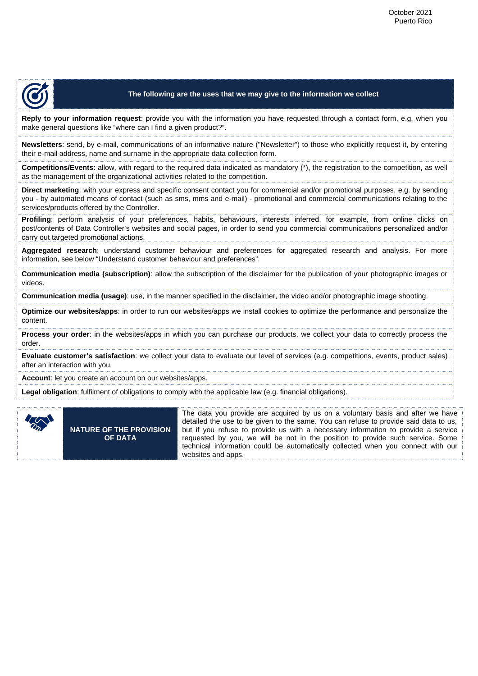

## **The following are the uses that we may give to the information we collect**

**Reply to your information request**: provide you with the information you have requested through a contact form, e.g. when you make general questions like "where can I find a given product?".

**Newsletters**: send, by e-mail, communications of an informative nature ("Newsletter") to those who explicitly request it, by entering their e-mail address, name and surname in the appropriate data collection form.

**Competitions/Events**: allow, with regard to the required data indicated as mandatory (\*), the registration to the competition, as well as the management of the organizational activities related to the competition.

**Direct marketing**: with your express and specific consent contact you for commercial and/or promotional purposes, e.g. by sending you - by automated means of contact (such as sms, mms and e-mail) - promotional and commercial communications relating to the services/products offered by the Controller.

**Profiling**: perform analysis of your preferences, habits, behaviours, interests inferred, for example, from online clicks on post/contents of Data Controller's websites and social pages, in order to send you commercial communications personalized and/or carry out targeted promotional actions.

**Aggregated research**: understand customer behaviour and preferences for aggregated research and analysis. For more information, see below "Understand customer behaviour and preferences".

**Communication media (subscription)**: allow the subscription of the disclaimer for the publication of your photographic images or videos.

**Communication media (usage)**: use, in the manner specified in the disclaimer, the video and/or photographic image shooting.

**Optimize our websites/apps**: in order to run our websites/apps we install cookies to optimize the performance and personalize the content.

**Process your order**: in the websites/apps in which you can purchase our products, we collect your data to correctly process the order.

**Evaluate customer's satisfaction**: we collect your data to evaluate our level of services (e.g. competitions, events, product sales) after an interaction with you.

**Account**: let you create an account on our websites/apps.

**Legal obligation**: fulfilment of obligations to comply with the applicable law (e.g. financial obligations).



**NATURE OF THE PROVISION OF DATA**

The data you provide are acquired by us on a voluntary basis and after we have detailed the use to be given to the same. You can refuse to provide said data to us, but if you refuse to provide us with a necessary information to provide a service requested by you, we will be not in the position to provide such service. Some technical information could be automatically collected when you connect with our websites and apps.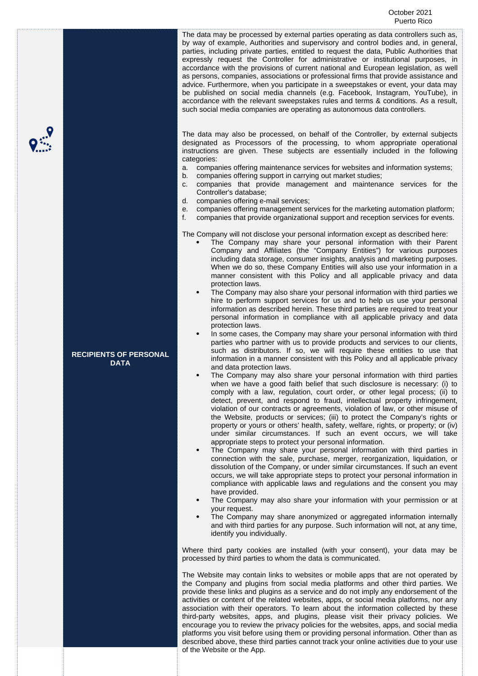The data may be processed by external parties operating as data controllers such as, by way of example, Authorities and supervisory and control bodies and, in general, parties, including private parties, entitled to request the data, Public Authorities that expressly request the Controller for administrative or institutional purposes, in accordance with the provisions of current national and European legislation, as well as persons, companies, associations or professional firms that provide assistance and advice. Furthermore, when you participate in a sweepstakes or event, your data may be published on social media channels (e.g. Facebook, Instagram, YouTube), in accordance with the relevant sweepstakes rules and terms & conditions. As a result, such social media companies are operating as autonomous data controllers.

The data may also be processed, on behalf of the Controller, by external subjects designated as Processors of the processing, to whom appropriate operational instructions are given. These subjects are essentially included in the following categories:

- a. companies offering maintenance services for websites and information systems;
- b. companies offering support in carrying out market studies;
- c. companies that provide management and maintenance services for the Controller's database;
- d. companies offering e-mail services;
- e. companies offering management services for the marketing automation platform;
- f. companies that provide organizational support and reception services for events.

The Company will not disclose your personal information except as described here:

- The Company may share your personal information with their Parent Company and Affiliates (the "Company Entities") for various purposes including data storage, consumer insights, analysis and marketing purposes. When we do so, these Company Entities will also use your information in a manner consistent with this Policy and all applicable privacy and data protection laws.
- The Company may also share your personal information with third parties we hire to perform support services for us and to help us use your personal information as described herein. These third parties are required to treat your personal information in compliance with all applicable privacy and data protection laws.
- In some cases, the Company may share your personal information with third parties who partner with us to provide products and services to our clients, such as distributors. If so, we will require these entities to use that information in a manner consistent with this Policy and all applicable privacy and data protection laws.
- The Company may also share your personal information with third parties when we have a good faith belief that such disclosure is necessary: (i) to comply with a law, regulation, court order, or other legal process; (ii) to detect, prevent, and respond to fraud, intellectual property infringement, violation of our contracts or agreements, violation of law, or other misuse of the Website, products or services; (iii) to protect the Company's rights or property or yours or others' health, safety, welfare, rights, or property; or (iv) under similar circumstances. If such an event occurs, we will take appropriate steps to protect your personal information.
- The Company may share your personal information with third parties in connection with the sale, purchase, merger, reorganization, liquidation, or dissolution of the Company, or under similar circumstances. If such an event occurs, we will take appropriate steps to protect your personal information in compliance with applicable laws and regulations and the consent you may have provided.
- The Company may also share your information with your permission or at your request.
- The Company may share anonymized or aggregated information internally and with third parties for any purpose. Such information will not, at any time, identify you individually.

Where third party cookies are installed (with your consent), your data may be processed by third parties to whom the data is communicated.

The Website may contain links to websites or mobile apps that are not operated by the Company and plugins from social media platforms and other third parties. We provide these links and plugins as a service and do not imply any endorsement of the activities or content of the related websites, apps, or social media platforms, nor any association with their operators. To learn about the information collected by these third-party websites, apps, and plugins, please visit their privacy policies. We encourage you to review the privacy policies for the websites, apps, and social media platforms you visit before using them or providing personal information. Other than as described above, these third parties cannot track your online activities due to your use of the Website or the App.

**RECIPIENTS OF PERSONAL DATA**